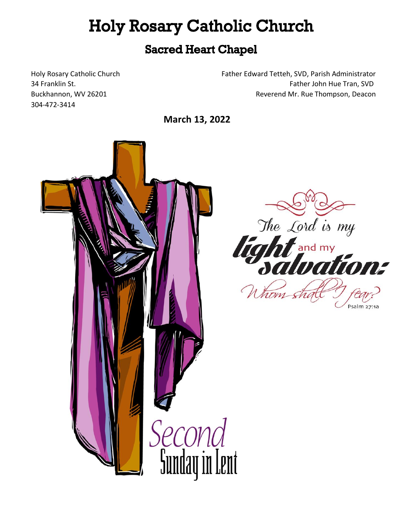# **Holy Rosary Catholic Church**

## **Sacred Heart Chapel**

304-472-3414

Holy Rosary Catholic Church Father Edward Tetteh, SVD, Parish Administrator 34 Franklin St. Father John Hue Tran, SVD Buckhannon, WV 26201 Reverend Mr. Rue Thompson, Deacon

**March 13, 2022** 



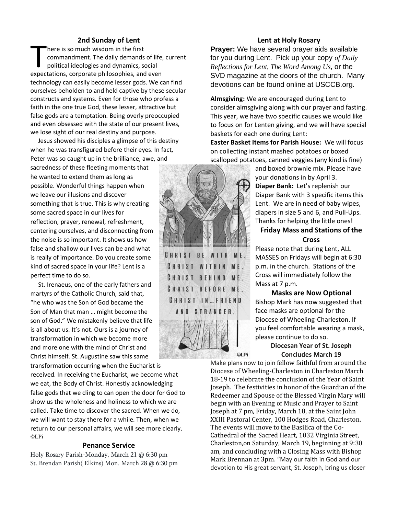#### **2nd Sunday of Lent**

here is so much wisdom in the first commandment. The daily demands of life, current political ideologies and dynamics, social Final Barnety of Editor<br>
here is so much wisdom in the first<br>
commandment. The daily demands of life,<br>
political ideologies and dynamics, social<br>
expectations, corporate philosophies, and even technology can easily become lesser gods. We can find ourselves beholden to and held captive by these secular constructs and systems. Even for those who profess a faith in the one true God, these lesser, attractive but false gods are a temptation. Being overly preoccupied and even obsessed with the state of our present lives, we lose sight of our real destiny and purpose.

 Jesus showed his disciples a glimpse of this destiny when he was transfigured before their eyes. In fact,

Peter was so caught up in the brilliance, awe, and sacredness of these fleeting moments that he wanted to extend them as long as possible. Wonderful things happen when we leave our illusions and discover something that is true. This is why creating some sacred space in our lives for reflection, prayer, renewal, refreshment, centering ourselves, and disconnecting from the noise is so important. It shows us how false and shallow our lives can be and what is really of importance. Do you create some kind of sacred space in your life? Lent is a perfect time to do so.

 St. Irenaeus, one of the early fathers and martyrs of the Catholic Church, said that, "he who was the Son of God became the Son of Man that man … might become the son of God." We mistakenly believe that life is all about us. It's not. Ours is a journey of transformation in which we become more and more one with the mind of Christ and Christ himself. St. Augustine saw this same

transformation occurring when the Eucharist is received. In receiving the Eucharist, we become what we eat, the Body of Christ. Honestly acknowledging false gods that we cling to can open the door for God to show us the wholeness and holiness to which we are called. Take time to discover the sacred. When we do, we will want to stay there for a while. Then, when we return to our personal affairs, we will see more clearly. ©LPi

#### **Penance Service**

Holy Rosary Parish-Monday, March 21 @ 6:30 pm St. Brendan Parish( Elkins) Mon. March 28 @ 6:30 pm

#### **Lent at Holy Rosary**

**Prayer:** We have several prayer aids available for you during Lent. Pick up your copy *of Daily Reflections for Lent, The Word Among Us,* or the SVD magazine at the doors of the church. Many devotions can be found online at USCCB.org.

**Almsgiving:** We are encouraged during Lent to consider almsgiving along with our prayer and fasting. This year, we have two specific causes we would like to focus on for Lenten giving, and we will have special baskets for each one during Lent:

**Easter Basket Items for Parish House:** We will focus on collecting instant mashed potatoes or boxed scalloped potatoes, canned veggies (any kind is fine)



CHRIST BE WITH ME. **CHRIST WITHIN ME.** CHRIST BEHIND ME. CHRIST BEFORE ME. CHRIST IN ... FRIEND AND STRANGER.



and boxed brownie mix. Please have your donations in by April 3. **Diaper Bank:** Let's replenish our Diaper Bank with 3 specific items this Lent. We are in need of baby wipes, diapers in size 5 and 6, and Pull-Ups. Thanks for helping the little ones!

#### **Friday Mass and Stations of the Cross**

Please note that during Lent, ALL MASSES on Fridays will begin at 6:30 p.m. in the church. Stations of the Cross will immediately follow the Mass at 7 p.m.

**Masks are Now Optional** Bishop Mark has now suggested that face masks are optional for the Diocese of Wheeling-Charleston. If you feel comfortable wearing a mask, please continue to do so.

> **Diocesan Year of St. Joseph Concludes March 19**

Make plans now to join fellow faithful from around the Diocese of Wheeling-Charleston in Charleston March 18-19 to celebrate the conclusion of the Year of Saint Joseph. The festivities in honor of the Guardian of the Redeemer and Spouse of the Blessed Virgin Mary will begin with an Evening of Music and Prayer to Saint Joseph at 7 pm, Friday, March 18, at the Saint John XXIII Pastoral Center, 100 Hodges Road, Charleston. The events will move to the Basilica of the Co-Cathedral of the Sacred Heart, 1032 Virginia Street, Charleston,on Saturday, March 19, beginning at 9:30 am, and concluding with a Closing Mass with Bishop Mark Brennan at 3pm. "May our faith in God and our devotion to His great servant, St. Joseph, bring us closer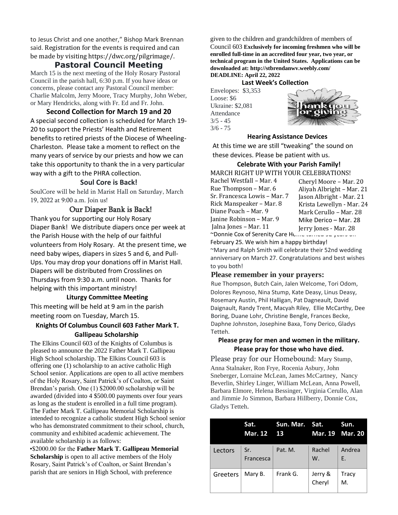to Jesus Christ and one another," Bishop Mark Brennan said. Registration for the events is required and can be made by visiting https://dwc.org/pilgrimage/.

#### **Pastoral Council Meeting**

March 15 is the next meeting of the Holy Rosary Pastoral Council in the parish hall, 6:30 p.m. If you have ideas or concerns, please contact any Pastoral Council member: Charlie Malcolm, Jerry Moore, Tracy Murphy, John Weber, or Mary Hendricks, along with Fr. Ed and Fr. John.

**Second Collection for March 19 and 20** A special second collection is scheduled for March 19- 20 to support the Priests' Health and Retirement benefits to retired priests of the Diocese of Wheeling-Charleston. Please take a moment to reflect on the many years of service by our priests and how we can take this opportunity to thank the in a very particular way with a gift to the PHRA collection.

#### **Soul Core is Back!**

SoulCore will be held in Marist Hall on Saturday, March 19, 2022 at 9:00 a.m. Join us!

#### Our Diaper Bank is Back!

Thank you for supporting our Holy Rosary Diaper Bank! We distribute diapers once per week at the Parish House with the help of our faithful volunteers from Holy Rosary. At the present time, we need baby wipes, diapers in sizes 5 and 6, and Pull-Ups. You may drop your donations off in Marist Hall. Diapers will be distributed from Crosslines on Thursdays from 9:30 a.m. until noon. Thanks for helping with this important ministry!

#### **Liturgy Committee Meeting**

This meeting will be held at 9 am in the parish meeting room on Tuesday, March 15.

#### **Knights Of Columbus Council 603 Father Mark T. Gallipeau Scholarship**

The Elkins Council 603 of the Knights of Columbus is pleased to announce the 2022 Father Mark T. Gallipeau High School scholarship. The Elkins Council 603 is offering one (1) scholarship to an active catholic High School senior. Applications are open to all active members of the Holy Rosary, Saint Patrick's of Coalton, or Saint Brendan's parish. One (1) \$2000.00 scholarship will be awarded (divided into 4 \$500.00 payments over four years as long as the student is enrolled in a full time program). The Father Mark T. Gallipeau Memorial Scholarship is intended to recognize a catholic student High School senior who has demonstrated commitment to their school, church, community and exhibited academic achievement. The available scholarship is as follows:

•\$2000.00 for the **Father Mark T. Gallipeau Memorial Scholarship** is open to all active members of the Holy Rosary, Saint Patrick's of Coalton, or Saint Brendan's parish that are seniors in High School, with preference

given to the children and grandchildren of members of Council 603 **Exclusively for incoming freshmen who will be enrolled full-time in an accredited four year, two year, or technical program in the United States. Applications can be downloaded at: http://stbrendanwv.weebly.com/ DEADLINE: April 22, 2022**

**Last Week's Collection**

Envelopes: \$3,353 Loose: \$6 Ukraine: \$2,081 Attendance  $3/5 - 45$ 3/6 - 75



#### **Hearing Assistance Devices**

At this time we are still "tweaking" the sound on these devices. Please be patient with us.

**Celebrate With your Parish Family!** MARCH RIGHT UP WITH YOUR CELEBRATIONS!

Rachel Westfall – Mar. 4 Rue Thompson – Mar. 6 Sr. Francesca Lowis – Mar. 7 Rick Manspeaker – Mar. 8 Diane Poach – Mar. 9 Janine Robinson – Mar. 9 Jalna Jones – Mar. 11 ~Donnie Cox of Serenity Care Ho Cheryl Moore – Mar. 20 Aliyah Albright – Mar. 21 Jason Albright - Mar. 21 Krista Lewellyn - Mar. 24 Mark Cerullo – Mar. 28 Mike Derico – Mar. 28 Jerry Jones - Mar. 28

February 25. We wish him a happy birthday!

~Mary and Ralph Smith will celebrate their 52nd wedding anniversary on March 27. Congratulations and best wishes to you both!

#### **Please remember in your prayers:**

Rue Thompson, Butch Cain, Jalen Welcome, Tori Odom, Dolores Reynoso, Nina Stump, Kate Deasy, Linus Deasy, Rosemary Austin, Phil Halligan, Pat Dagneault, David Daignault, Randy Trent, Macyah Riley, Ellie McCarthy, Dee Boring, Duane Lohr, Christine Bengle, Frances Becke, Daphne Johnston, Josephine Baxa, Tony Derico, Gladys Tetteh.

#### **Please pray for men and women in the military. Please pray for those who have died.**

Please pray for our Homebound: Mary Stump,

Anna Stalnaker, Ron Frye, Rocenia Asbury, John Sneberger, Lorraine McLean, James McCartney, Nancy Beverlin, Shirley Linger, William McLean, Anna Powell, Barbara Elmore, Helena Bessinger, Virginia Cerullo, Alan and Jimmie Jo Simmon, Barbara Hillberry, Donnie Cox, Gladys Tetteh.

|          | Sat.<br><b>Mar. 12</b> | Sun. Mar. Sat.<br><b>13</b> |                   | Sun.<br>Mar. 19 Mar. 20 |
|----------|------------------------|-----------------------------|-------------------|-------------------------|
| Lectors  | Sr.<br>Francesca       | Pat. M.                     | Rachel<br>W.      | Andrea<br>E.            |
| Greeters | Mary B.                | Frank G.                    | Jerry &<br>Cheryl | Tracy<br>M.             |